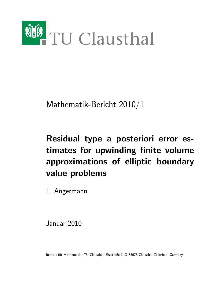

Mathematik-Bericht 2010/1

# Residual type a posteriori error estimates for upwinding finite volume approximations of elliptic boundary value problems

L. Angermann

Januar 2010

Institut für Mathematik, TU Clausthal, Erzstraße 1, D-38678 Clausthal-Zellerfeld, Germany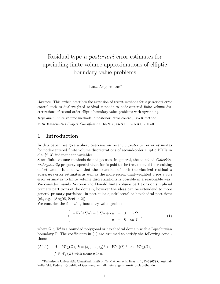## Residual type a posteriori error estimates for upwinding finite volume approximations of elliptic boundary value problems

Lutz Angermann<sup>∗</sup>

Abstract: This article describes the extension of recent methods for a posteriori error control such as dual-weighted residual methods to node-centered finite volume discretizations of second order elliptic boundary value problems with upwinding.

Keywords: Finite volume methods, a posteriori error control, DWR method 2010 Mathematics Subject Classification: 65 N 08, 65 N 15, 65 N 30, 65 N 50

#### 1 Introduction

In this paper, we give a short overview on recent a *posteriori* error estimates for node-centered finite volume discretizations of second-order elliptic PDEs in  $d \in \{2,3\}$  independent variables.

Since finite volume methods do not possess, in general, the so-called Galerkinorthogonality property, special attention is paid to the treatment of the resulting defect term. It is shown that the extension of both the classical residual a posteriori error estimates as well as the more recent dual-weighted a posteriori error estimates to finite volume discretizations is possible in a reasonable way. We consider mainly Voronoi and Donald finite volume partitions on simplicial primary partitions of the domain, however the ideas can be extendend to more general primary partitions, in particular quadrilateral or hexahedral partitions (cf., e.g., [Ang06, Sect. 4.2]).

We consider the following boundary value problem:

$$
\begin{cases}\n-\nabla \cdot (A\nabla u) + b \cdot \nabla u + cu & = f \quad \text{in } \Omega \\
u & = 0 \quad \text{on } \Gamma\n\end{cases}
$$
\n(1)

where  $\Omega \subset \mathbb{R}^d$  is a bounded polygonal or hexahedral domain with a Lipschitzian boundary Γ. The coefficients in (1) are assumed to satisfy the following conditions:

(A1.1) 
$$
A \in W^1_{\infty}(\Omega), b = (b_1, \dots, b_d)^\top \in [W^1_{\infty}(\Omega)]^d, c \in W^1_{\infty}(\Omega),
$$
  
 $f \in W^1_q(\Omega)$  with some  $q > d$ ,

<sup>∗</sup>Technische Universit¨at Clausthal, Institut f¨ur Mathematik, Erzstr. 1, D–38678 Clausthal-Zellerfeld, Federal Republic of Germany, e-mail: lutz.angermann@tu-clausthal.de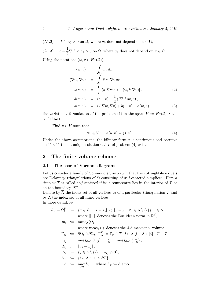(A1.2)  $A \ge a_0 > 0$  on  $\Omega$ , where  $a_0$  does not depend on  $x \in \Omega$ ,

 $(A1.3)$ 1  $\frac{1}{2}\nabla \cdot b \ge a_1 > 0$  on  $\Omega$ , where  $a_1$  does not depend on  $x \in \Omega$ .

Using the notations  $(w, v \in H^1(\Omega))$ 

$$
(w, v) := \int_{\Omega} wv \, dx,
$$
  
\n
$$
(\nabla w, \nabla v) := \int_{\Omega} \nabla w \cdot \nabla v \, dx,
$$
  
\n
$$
b(w, v) := \frac{1}{2} [(b \cdot \nabla w, v) - (w, b \cdot \nabla v)],
$$
\n
$$
(2)
$$

$$
d(w, v) := (cw, v) - \frac{1}{2} ((\nabla \cdot b) w, v),
$$
  
\n
$$
a(w, v) := (A \nabla w, \nabla v) + b(w, v) + d(w, v),
$$
\n(3)

the variational formulation of the problem (1) in the space  $V := H_0^1(\Omega)$  reads as follows:

Find  $u \in V$  such that

$$
\forall v \in V: \quad a(u, v) = (f, v). \tag{4}
$$

Under the above assumptions, the bilinear form  $a$  is continuous and coercive on  $V \times V$ , thus a unique solution  $u \in V$  of problem (4) exists.

#### 2 The finite volume scheme

#### 2.1 The case of Voronoi diagrams

Let us consider a family of Voronoi diagrams such that their straight-line duals are Delaunay triangulations of  $\Omega$  consisting of self-centered simplices. Here a simplex  $T$  is called *self-centered* if its circumcentre lies in the interior of  $T$  or on the boundary  $\partial T$ .

Denote by  $\overline{\Lambda}$  the index set of all vertices  $x_i$  of a particular triangulation  $\mathcal T$  and by  $\Lambda$  the index set of all inner vertices. In more detail, let

$$
\Omega_i := \Omega_i^V := \{x \in \Omega : ||x - x_i|| < ||x - x_i|| \,\forall j \in \overline{\Lambda} \setminus \{i\}\}, i \in \overline{\Lambda},
$$
\nwhere  $|| \cdot ||$  denotes the Euclidean norm in  $\mathbb{R}^d$ ,  
\n $m_i := \text{meas}_d(\Omega_i)$ ,  
\nwhere  $\text{meas}_d(\cdot)$  denotes the *d*-dimensional volume,  
\n $\Gamma_{ij} := \partial \Omega_i \cap \partial \Omega_j, \Gamma_{ij}^T := \Gamma_{ij} \cap T, i \in \Lambda, j \in \overline{\Lambda} \setminus \{i\}, T \in T,$   
\n $m_{ij} := \text{meas}_{d-1}(\Gamma_{ij}), m_{ij}^T := \text{meas}_{d-1}(\Gamma_{ij}^T),$   
\n $d_{ij} := ||x_i - x_j||,$   
\n $\Lambda_i := \{j \in \overline{\Lambda} \setminus \{i\} : m_{ij} \neq 0\},$   
\n $\Lambda_T := \{i \in \overline{\Lambda} : x_i \in \partial T\},$   
\n $h := \text{max } h_T, \text{ where } h_T := \text{diam } T.$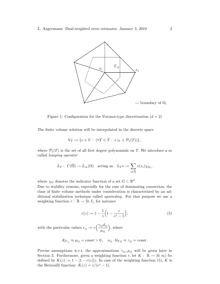

Figure 1: Configuration for the Voronoi-type discretization  $(d = 2)$ 

The finite volume solution will be interpolated in the discrete space

$$
V_T := \{ v \in V : (\forall T \in \mathcal{T} : v|_T \in \mathcal{P}_1(T)) \},
$$

where  $\mathcal{P}_1(T)$  is the set of all first degree polynomials on T. We introduce a so called lumping operator

$$
L_{\mathcal{T}}: C(\overline{\Omega}) \to L_{\infty}(\Omega)
$$
 acting as  $L_{\mathcal{T}}v := \sum_{i \in \overline{\Lambda}} v(x_i) \chi_{\Omega_i}$ ,

where  $\chi_G$  denotes the indicator function of a set  $G \subset \mathbb{R}^d$ .

Due to stability reasons, especially for the case of dominating convection, the class of finite volume methods under consideration is characterized by an additional stabilization technique called upwinding. For that purpose we use a weighting function  $r : \mathbb{R} \to [0, 1]$ , for instance

$$
r(z) := 1 - \frac{1}{z} \left( 1 - \frac{z}{e^z - 1} \right),\tag{5}
$$

with the particular values  $r_{ij} := r\left(\frac{\gamma_{ij}d_{ij}}{\mu}\right)$  $\mu_{ij}$ , where

$$
A|_{\Gamma_{ij}} \approx \mu_{ij} = \text{const} > 0, \quad \nu_{ij} \cdot b|_{\Gamma ij} \approx \gamma_{ij} = \text{const}.
$$

Precise assumptions w.r.t. the approximations  $\gamma_{ij}, \mu_{ij}$  will be given later in Section 3. Furthermore, given a weighting function r, let  $K: \mathbb{R} \to [0, \infty)$  be defined by  $K(z) := 1 - [1 - r(z)]z$ . In case of the weighting function (5), K is the Bernoulli function:  $K(z) = z/(e^z - 1)$ .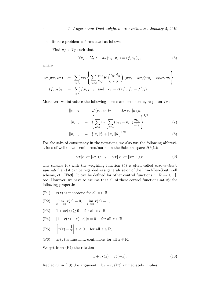The discrete problem is formulated as follows:

Find  $u_{\mathcal{T}} \in V_{\mathcal{T}}$  such that

$$
\forall v \tau \in V \tau : a_{\mathcal{T}}(u_{\mathcal{T}}, v_{\mathcal{T}}) = (f, v_{\mathcal{T}})_{\mathcal{T}}, \tag{6}
$$

where

$$
a_{\mathcal{T}}(w_{\mathcal{T}}, v_{\mathcal{T}}) := \sum_{i \in \Lambda} v_{\mathcal{T}i} \left\{ \sum_{j \in \Lambda_i} \frac{\mu_{ij}}{d_{ij}} K\left(\frac{\gamma_{ij} d_{ij}}{\mu_{ij}}\right) (w_{\mathcal{T}i} - w_{\mathcal{T}j}) m_{ij} + c_i w_{\mathcal{T}i} m_i \right\},
$$
  

$$
(f, v_{\mathcal{T}})_{\mathcal{T}} := \sum_{i \in \Lambda} f_i v_{\mathcal{T}i} m_i \text{ and } c_i := c(x_i), \ f_i := f(x_i).
$$

Moreover, we introduce the following norms and seminorms, resp., on  $V<sub>T</sub>$ :

$$
||v_T||_T := \sqrt{(v_T, v_T)_T} = ||L_T v_T||_{0,2,\Omega},
$$
  

$$
|v_T|_V := \left\{ \sum_{i \in \Lambda} v_{Ti} \sum_{j \in \Lambda_i} (v_{Ti} - v_{Ti}) \frac{m_{ij}}{d_{ij}} \right\}^{1/2},
$$
 (7)

$$
||v_T||_V := { (|v_T|_V^2 + ||v_T||_T^2 )^{1/2} .
$$
 (8)

For the sake of consistency in the notations, we also use the following abbreviations of wellknown seminorms/norms in the Sobolev space  $H^1(\Omega)$ :

$$
|v_{\mathcal{T}}|_{D} := |v_{\mathcal{T}}|_{1,2,\Omega}, \quad ||v_{\mathcal{T}}||_{D} := ||v_{\mathcal{T}}||_{1,2,\Omega}.
$$
\n(9)

The scheme  $(6)$  with the weighting function  $(5)$  is often called *exponentially* upwinded, and it can be regarded as a generalization of the Il'in-Allen-Southwell scheme, cf. [Il'69]. It can be defined for other control functions  $r : \mathbb{R} \to [0,1],$ too. However, we have to assume that all of these control functions satisfy the following properties:

- (P1)  $r(z)$  is monotone for all  $z \in \mathbb{R}$ ,
- (P2)  $\lim_{z \to -\infty} r(z) = 0$ ,  $\lim_{z \to \infty} r(z) = 1$ ,
- (P3)  $1 + zr(z) \ge 0$  for all  $z \in \mathbb{R}$ ,
- (P4)  $[1 r(z) r(-z)]z = 0$  for all  $z \in \mathbb{R}$ ,
- $(\text{P5}) \quad \left[ r(z) \frac{1}{2} \right]$ 2  $z \geq 0$  for all  $z \in \mathbb{R}$ ,
- (P6)  $zr(z)$  is Lipschitz-continuous for all  $z \in \mathbb{R}$ .

We get from (P4) the relation

$$
1 + zr(z) = K(-z). \tag{10}
$$

Replacing in (10) the argument z by  $-z$ , (P3) immediately implies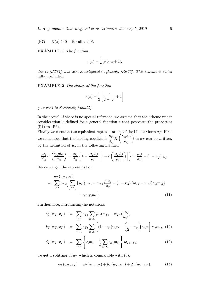(P7)  $K(z) \geq 0$  for all  $z \in \mathbb{R}$ .

EXAMPLE 1 The function

$$
r(z) = \frac{1}{2} [sign z + 1],
$$

due to [BT81], has been investigated in [Ris86], [Ris90]. This scheme is called fully upwinded.

EXAMPLE 2 The choice of the function

$$
r(z) = \frac{1}{2} \left[ \frac{z}{2 + |z|} + 1 \right]
$$

goes back to Samarskij [Sam65].

In the sequel, if there is no special reference, we assume that the scheme under consideration is defined for a general function  $r$  that possesses the properties (P1) to (P6).

Finally we mention two equivalent representations of the bilinear form  $a<sub>T</sub>$ . First we remember that the leading coefficient  $\frac{\mu_{ij}}{l}$  $\frac{\mu_{ij}}{d_{ij}} K\left(\frac{\gamma_{ij} d_{ij}}{\mu_{ij}}\right)$  in  $a_{\mathcal{T}}$  can be written, by the definition of  $K$ , in the following manner:

$$
\frac{\mu_{ij}}{d_{ij}}K\left(\frac{\gamma_{ij}d_{ij}}{\mu_{ij}}\right) = \frac{\mu_{ij}}{d_{ij}}\left\{1 - \frac{\gamma_{ij}d_{ij}}{\mu_{ij}}\left[1 - r\left(\frac{\gamma_{ij}d_{ij}}{\mu_{ij}}\right)\right]\right\} = \frac{\mu_{ij}}{d_{ij}} - (1 - r_{ij})\,\gamma_{ij}.
$$

Hence we get the representation

$$
= \sum_{i \in \Lambda} a_{\mathcal{T}}(w_{\mathcal{T}}, v_{\mathcal{T}})
$$
  
= 
$$
\sum_{i \in \Lambda} v_{\mathcal{T}i} \Big\{ \sum_{j \in \Lambda_i} \Big\{ \mu_{ij} (w_{\mathcal{T}i} - w_{\mathcal{T}j}) \frac{m_{ij}}{d_{ij}} - (1 - r_{ij}) (w_{\mathcal{T}i} - w_{\mathcal{T}j}) \gamma_{ij} m_{ij} \Big\} + c_i w_{\mathcal{T}i} m_i \Big\}.
$$
 (11)

Furthermore, introducing the notations

$$
a_T^0(w_T, v_T) := \sum_{i \in \Lambda} v_{Ti} \sum_{j \in \Lambda_i} \mu_{ij} (w_{Ti} - w_{Tj}) \frac{m_{ij}}{d_{ij}},
$$
  

$$
b_T(w_T, v_T) := \sum_{i \in \Lambda} v_{Ti} \sum_{j \in \Lambda_i} \left[ (1 - r_{ij}) w_{Tj} - \left( \frac{1}{2} - r_{ij} \right) w_{Ti} \right] \gamma_{ij} m_{ij},
$$
(12)  

$$
d_T(w_T, v_T) := \sum_{i \in \Lambda} \int_{\mathcal{R}, m} \frac{1}{\sqrt{\sum_{i \in \Lambda_i} \sum_{j \in \Lambda_i} \gamma_{ij}} \frac{1}{\sqrt{\sum_{i \in \Lambda_i} \gamma_{ij}}} \frac{1}{\sqrt{\sum_{i \in \Lambda_i} \gamma_{ij}}} \frac{1}{\sqrt{\sum_{i \in \Lambda_i} \gamma_{ij}}} \frac{1}{\sqrt{\sum_{i \in \Lambda_i} \gamma_{ij}}} \frac{1}{\sqrt{\sum_{i \in \Lambda_i} \gamma_{ij}}} \frac{1}{\sqrt{\sum_{i \in \Lambda_i} \gamma_{ij}}} \frac{1}{\sqrt{\sum_{i \in \Lambda_i} \gamma_{ij}}} \frac{1}{\sqrt{\sum_{i \in \Lambda_i} \gamma_{ij}}} \frac{1}{\sqrt{\sum_{i \in \Lambda_i} \gamma_{ij}}} \frac{1}{\sqrt{\sum_{i \in \Lambda_i} \gamma_{ij}}} \frac{1}{\sqrt{\sum_{i \in \Lambda_i} \gamma_{ij}}} \frac{1}{\sqrt{\sum_{i \in \Lambda_i} \gamma_{ij}}} \frac{1}{\sqrt{\sum_{i \in \Lambda_i} \gamma_{ij}}} \frac{1}{\sqrt{\sum_{i \in \Lambda_i} \gamma_{ij}}} \frac{1}{\sqrt{\sum_{i \in \Lambda_i} \gamma_{ij}}} \frac{1}{\sqrt{\sum_{i \in \Lambda_i} \gamma_{ij}}} \frac{1}{\sqrt{\sum_{i \in \Lambda_i} \gamma_{ij}}} \frac{1}{\sqrt{\sum_{i \in \Lambda_i} \gamma_{ij}}} \frac{1}{\sqrt{\sum_{i \in \Lambda_i} \gamma_{ij}}} \frac{1}{\sqrt{\sum_{i \in \Lambda_i} \gamma_{ij}}} \frac{1}{\sqrt{\sum_{i \in \Lambda_i} \gamma_{ij}}} \frac{1}{\sqrt{\sum_{i \in \Lambda_i} \gamma_{ij}}} \frac{1}{\sqrt{\sum_{i \in \Lambda_i} \gamma_{ij}}} \frac{1}{\sqrt{\sum_{i \in \Lambda_i} \gamma_{ij}}} \frac{
$$

$$
d_{\mathcal{T}}(w_{\mathcal{T}}, v_{\mathcal{T}}) \quad := \quad \sum_{i \in \Lambda} \left\{ c_i m_i - \frac{1}{2} \sum_{j \in \Lambda_i} \gamma_{ij} m_{ij} \right\} w_{\mathcal{T}i} v_{\mathcal{T}i}, \tag{13}
$$

we get a splitting of  $a_{\mathcal{T}}$  which is comparable with (3):

$$
a_{\mathcal{T}}(w_{\mathcal{T}}, v_{\mathcal{T}}) = a_{\mathcal{T}}^0(w_{\mathcal{T}}, v_{\mathcal{T}}) + b_{\mathcal{T}}(w_{\mathcal{T}}, v_{\mathcal{T}}) + d_{\mathcal{T}}(w_{\mathcal{T}}, v_{\mathcal{T}}).
$$
(14)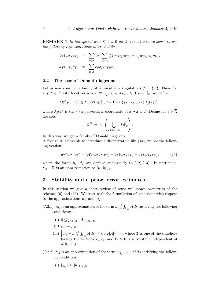**REMARK 1** In the special case  $\nabla \cdot b \equiv 0$  on  $\Omega$ , it makes more sense to use the following representations of  $b<sub>T</sub>$  and  $d<sub>T</sub>$ :

$$
b_{\mathcal{T}}(w_{\mathcal{T}}, v_{\mathcal{T}}) = \sum_{i \in \Lambda} v_{\mathcal{T}i} \sum_{j \in \Lambda_i} [(1 - r_{ij})w_{\mathcal{T}j} + r_{ij}w_{\mathcal{T}i}] \gamma_{ij} m_{ij},
$$
  

$$
d_{\mathcal{T}}(w_{\mathcal{T}}, v_{\mathcal{T}}) = \sum_{i \in \Lambda} c_i w_{\mathcal{T}i} v_{\mathcal{T}i} m_i.
$$

#### 2.2 The case of Donald diagrams

Let us now consider a family of admissible triangulations  $\mathcal{F} = \{ \mathcal{T} \}$ . Then, for any  $T \in \mathcal{T}$  with local vertices  $z_j \equiv x_{i_j}, i_j \in \Lambda_T$ ,  $j \in [1, d+1]_N$ , we define

$$
\Omega^D_{i_j,T}:=\left\{x\in T: (\forall k\in [1,d+1]_\mathbb{N}\setminus\{j\}: \lambda_k(x)<\lambda_j(x))\right\},
$$

where  $\lambda_i(x)$  is the j-th barycentric coordinate of x w.r.t. T. Define for  $i \in \overline{\Lambda}$ the sets

$$
\Omega_i^D := \mathrm{int} \left( \bigcup_{T: \partial T \ni x_i} \overline{\Omega_{i,T}^D} \right).
$$

In this way, we get a family of Donald diagrams.

Although it is possible to introduce a discretization like (14), we use the following version:

$$
a_{\mathcal{T}}(w_{\mathcal{T}}, v_{\mathcal{T}}) = (A \nabla w_{\mathcal{T}}, \nabla v_{\mathcal{T}}) + b_{\mathcal{T}}(w_{\mathcal{T}}, v_{\mathcal{T}}) + d_{\mathcal{T}}(w_{\mathcal{T}}, v_{\mathcal{T}}), \tag{15}
$$

where the forms  $b_{\mathcal{T}}$ ,  $d_{\mathcal{T}}$  are defined analogously to (12),(13). In particular,  $\gamma_{ij} \in \mathbb{R}$  is an approximation to  $(\nu \cdot b)|_{\Gamma ij}$ .

#### 3 Stability and a priori error estimates

In this section we give a short review of some wellknown properties of the schemes (6) and (15). We start with the formulation of conditions with respect to the approximations  $\mu_{ij}$  and  $\gamma_{ij}$ .

- (A2.1)  $\mu_{ij}$  is an approximation of the term  $m_{ij}^{-1} \int_{\Gamma_{ij}} A ds$  satisfying the following conditions:
	- (i)  $0 \leq \mu_{ij} \leq ||A||_{1,\infty,\Omega}$ ,
	- (ii)  $\mu_{ij} = \mu_{ji}$ ,
	- (iii)  $\left|\mu_{ij} m_{ij}^{-1} \int_{\Gamma_{ij}} A ds \right| \leq Ch_T |A|_{1,\infty,\Omega}$ , where T is one of the simplices having the vertices  $x_i, x_j$ , and  $C > 0$  is a constant independent of  $a, h_T, i, j.$
- (A2.2)  $\gamma_{ij}$  is an approximation of the term  $m_{ij}^{-1} \int_{\Gamma_{ij}} \nu \cdot b \, ds$  satisfying the following conditions:
	- (i)  $|\gamma_{ii}| \leq ||b||_{1,\infty,\Omega}$ ,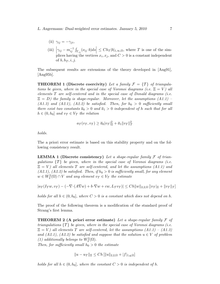- (ii)  $\gamma_{ij} = -\gamma_{ji}$ ,
- (iii)  $\left|\gamma_{ij} m_{ij}^{-1} \int_{\Gamma_{ij}} (\nu_{ij} \cdot b) ds \right| \leq Ch_T |b|_{1,\infty,\Omega}$ , where T is one of the simplices having the vertices  $x_i, x_j$ , and  $C > 0$  is a constant independent of  $b, h_T, i, j$ .

The subsequent results are extensions of the theory developed in [Ang91],  $[Ang 95b]$ .

**THEOREM 1 (Discrete coercivity)** Let a family  $\mathcal{F} = \{T\}$  of triangulations be given, where in the special case of Voronoi diagrams (i.e.  $\Xi = V$ ) all elements  $T$  are self-centered and in the special case of Donald diagrams (i.e.  $\Xi = D$ ) the family is shape-regular. Moreover, let the assumptions  $(A1.1)$ (A1.3) and (A2.1), (A2.2) be satisfied. Then, for  $h_0 > 0$  sufficiently small there exist two constants  $\overline{a}_0 > 0$  and  $\overline{a}_1 > 0$  independent of h such that for all  $h \in (0, h_0]$  and  $v_T \in V_T$  the relation

$$
a_{\mathcal{T}}(v_{\mathcal{T}}, v_{\mathcal{T}}) \ge \overline{a}_0 |v_{\mathcal{T}}|_{\Xi}^2 + \overline{a}_1 ||v_{\mathcal{T}}||_{\mathcal{T}}^2
$$

holds.

The a priori error estimate is based on this stability property and on the following consistency result.

**LEMMA 1 (Discrete consistency)** Let a shape-regular family  $\mathcal F$  of trianqulations  $\{T\}$  be given, where in the special case of Voronoi diagrams (i.e.  $\Xi = V$ ) all elements T are self-centered, and let the assumptions (A1.1) and  $(A2.1), (A2.2)$  be satisfied. Then, if  $h_0 > 0$  is sufficiently small, for any element  $w \in W_2^2(\Omega) \cap V$  and any element  $v_{\mathcal{T}} \in V_{\mathcal{T}}$  the estimate

$$
|a_{\mathcal{T}}(I_{\mathcal{T}}w, v_{\mathcal{T}}) - (-\nabla \cdot (A \nabla w) + b \cdot \nabla w + cw, L_{\mathcal{T}}v_{\mathcal{T}})| \leq Ch||w||_{2,2,\Omega} [||v_{\mathcal{T}}||_{\Xi} + ||v_{\mathcal{T}}||_{\mathcal{T}}]
$$

holds for all  $h \in (0, h_0]$ , where  $C > 0$  is a constant which does not depend on h.

The proof of the following theorem is a modification of the standard proof of Strang's first lemma.

**THEOREM 2 (A priori error estimate)** Let a shape-regular family  $\mathcal F$  of triangulations  $\{T\}$  be given, where in the special case of Voronoi diagrams (i.e.  $\Xi = V$ ) all elements T are self-centered, let the assumptions  $(A1.1) - (A1.3)$ and (A2.1), (A2.2) be satisfied and suppose that the solution  $u \in V$  of problem (1) additionally belongs to  $W_2^2(\Omega)$ .

Then, for sufficiently small  $h_0 > 0$  the estimate

$$
||u - u_T||_{\mathbb{E}} \le Ch [||u||_{2,2,\Omega} + |f|_{1,q,\Omega}]
$$

holds for all  $h \in (0, h_0]$ , where the constant  $C > 0$  is independent of h.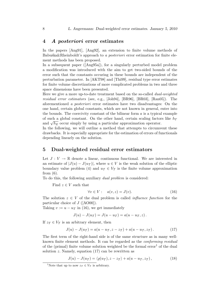#### 4 A posteriori error estimates

In the papers [Ang91], [Ang92], an extension to finite volume methods of  $Babuška&Rheinbold't's approach to a posteriori error estimation for finite ele$ ment methods has been proposed.

In a subsequent paper ([Ang95a]), for a singularly perturbed model problem a modification was introduced with the aim to get two-sided bounds of the error such that the constants occuring in these bounds are independent of the perturbation parameter. In [AKT98] and [Thi99], residual type error estimates for finite volume discretizations of more complicated problems in two and three space dimensions have been presented.

Here we give a more up-to-date treatment based on the so-called *dual-weighted* residual error estimators (see, e.g., [Joh94], [BR96], [BR03], [Ran05]). The aforementioned a posteriori error estimates have two disadvantages: On the one hand, certain global constants, which are not known in general, enter into the bounds. The coercivity constant of the bilinear form  $a$  is a typical example of such a global constant. On the other hand, certain scaling factors like  $h_T$ or such a global constant. On the other hand, certain scaling factor and  $\sqrt{h_E}$  occur simply by using a particular approximation operator.

In the following, we will outline a method that attempts to circumvent these drawbacks. It is especially appropriate for the estimation of errors of functionals depending linearly on the solution.

#### 5 Dual-weighted residual error estimators

Let  $J: V \to \mathbb{R}$  denote a linear, continuous functional. We are interested in an estimate of  $|J(u) - J(u)I)|$ , where  $u \in V$  is the weak solution of the elliptic boundary value problem (4) and  $u_T \in V_T$  is the finite volume approximation from  $(6)$ .

To do this, the following auxiliary dual problem is considered:

Find  $z \in V$  such that

$$
\forall v \in V: \quad a(v, z) = J(v). \tag{16}
$$

The solution  $z \in V$  of the dual problem is called *influence function* for the particular choice of  $J$  ([AO00]).

Taking  $v := u - u_{\mathcal{T}}$  in (16), we get immediately

$$
J(u) - J(u_{\mathcal{T}}) = J(u - u_{\mathcal{T}}) = a(u - u_{\mathcal{T}}, z).
$$

If  $z_{\mathcal{T}} \in V_{\mathcal{T}}$  is an arbitrary element, then

$$
J(u) - J(u_{\mathcal{T}}) = a(u - u_{\mathcal{T}}, z - z_{\mathcal{T}}) + a(u - u_{\mathcal{T}}, z_{\mathcal{T}}). \tag{17}
$$

The first term of the right-hand side is of the same structure as in many wellknown finite element methods. It can be regarded as the conforming residual of the (primal) finite volume solution weighted be the formal error<sup>1</sup> of the dual solution  $z$ . Namely, equation  $(17)$  can be rewritten as

$$
J(u) - J(u_{\mathcal{T}}) = \langle \varrho(u_{\mathcal{T}}), z - z_{\mathcal{T}} \rangle + a(u - u_{\mathcal{T}}, z_{\mathcal{T}}), \tag{18}
$$

<sup>&</sup>lt;sup>1</sup>Note that up to now  $z_{\mathcal{T}} \in V_{\mathcal{T}}$  is arbitrary.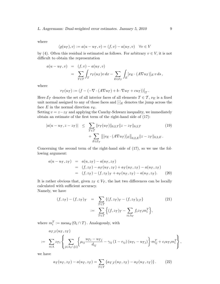where

$$
\langle \varrho(u_T), v \rangle := a(u - u_T, v) = (f, v) - a(u_T, v) \quad \forall v \in V
$$

by (4). Often this residual is estimated as follows. For arbitrary  $v \in V$ , it is not difficult to obtain the representation

$$
a(u - u_T, v) = (f, v) - a(u_T, v)
$$
  
= 
$$
\sum_{T \in \mathcal{T}} \int_T r_T(u_T) v \, dx - \sum_{E \in \mathcal{E}_T} \int_E [\nu_E \cdot (A \nabla u_T)]_E v \, ds,
$$

where

$$
r_T(u_T) := (f - (-\nabla \cdot (A\nabla u_T) + b \cdot \nabla u_T + cu_T))\big|_T.
$$

Here  $\mathcal{E}_{\mathcal{T}}$  denotes the set of all interior faces of all elements  $T \in \mathcal{T}$ ,  $\nu_E$  is a fixed unit normal assigned to any of those faces and  $[\cdot]_E$  denotes the jump across the face E in the normal direction  $\nu_E$ .

Setting  $v = z - z_T$  and applying the Cauchy-Schwarz inequality, we immediately obtain an estimate of the first term of the right-hand side of (17):

$$
|a(u - u_T, z - z_T)| \leq \sum_{T \in \mathcal{T}} ||r_T(u_T)||_{0,2,T} ||z - z_T||_{0,2,T}
$$
\n
$$
+ \sum_{E \in \mathcal{E}_T} ||[v_E \cdot (A \nabla u_T)]_E||_{0,2,E} ||z - z_T||_{0,2,E}.
$$
\n(19)

Concerning the second term of the right-hand side of (17), so we use the following argument:

$$
a(u - u_{\mathcal{T}}, z_{\mathcal{T}}) = a(u, z_{\mathcal{T}}) - a(u_{\mathcal{T}}, z_{\mathcal{T}})
$$
  
=  $(f, z_{\mathcal{T}}) - a_{\mathcal{T}}(u_{\mathcal{T}}, z_{\mathcal{T}}) + a_{\mathcal{T}}(u_{\mathcal{T}}, z_{\mathcal{T}}) - a(u_{\mathcal{T}}, z_{\mathcal{T}})$   
=  $(f, z_{\mathcal{T}}) - (f, z_{\mathcal{T}})_{\mathcal{T}} + a_{\mathcal{T}}(u_{\mathcal{T}}, z_{\mathcal{T}}) - a(u_{\mathcal{T}}, z_{\mathcal{T}}).$  (20)

It is rather obvious that, given  $z_T \in V_T$ , the last two differences can be locally calculated with sufficient accuracy.

Namely, we have

$$
(f, z_T) - (f, z_T)\tau = \sum_{T \in \mathcal{T}} \{ (f, z_T)_T - (f, z_T)_{l,T} \}
$$
\n
$$
:= \sum_{T \in \mathcal{T}} \Big\{ (f, z_T)_T - \sum_{i \in \Lambda_T} f_i z_{Ti} m_i^T \Big\},
$$
\n(21)

where  $m_i^T := \text{meas}_d(\Omega_i \cap T)$ . Analogously, with

$$
a_{\mathcal{T},T}(u_{\mathcal{T}},z_{\mathcal{T}})
$$
  
:= 
$$
\sum_{i\in\Lambda}z_{\mathcal{T}i}\left\{\sum_{j\in\Lambda_{T}\backslash\{i\}}\left\{\mu_{ij}\frac{u_{\mathcal{T}i}-u_{\mathcal{T}j}}{d_{ij}}-\gamma_{ij}\left(1-r_{ij}\right)\left(u_{\mathcal{T}i}-u_{\mathcal{T}j}\right)\right\}m_{ij}^T+c_iu_{\mathcal{T}i}m_i^T\right\},
$$

we have

$$
a_T(u_T, z_T) - a(u_T, z_T) = \sum_{T \in \mathcal{T}} \{a_{T,T}(u_T, z_T) - a_T(u_T, z_T)\}.
$$
 (22)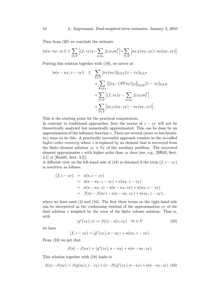Then from (20) we conclude the estimate

$$
|a(u-u_T, z_T)| \leq \sum_{T \in \mathcal{T}} \Big| (f, z_T)_{T} - \sum_{i \in \Lambda_T} f_i z_{\mathcal{T}i} m_i^T \Big| + \sum_{T \in \mathcal{T}} \Big| a_{\mathcal{T},T}(u_T, z_T) - a_T(u_T, z_T) \Big|.
$$

Putting this relation together with (19), we arrive at

$$
|a(u - u_T, z - z_T)| \leq \sum_{T \in \mathcal{T}} ||r_T(u_T)||_{0,2,T} ||z - z_T||_{0,2,T}
$$
  
+ 
$$
\sum_{E \in \mathcal{E}_T} ||[v_E \cdot (A \nabla u_T)]_E||_{0,2,E} ||z - z_T||_{0,2,E}
$$
  
+ 
$$
\sum_{T \in \mathcal{T}} |(f, z_T)_T - \sum_{i \in \Lambda_T} f_i z_T_i m_i^T|
$$
  
+ 
$$
\sum_{T \in \mathcal{T}} |a_{T,T}(u_T, z_T) - a_T(u_T, z_T)|.
$$

This is the starting point for the practical computation.

In contrast to traditional approaches, here the norms of  $z - z<sub>T</sub>$  will not be theoretically analyzed but numerically approximated. This can be done by an approximation of the influence function  $z$ . There are several (more or less heuristic) ways to do this. A practically successful approach consists in the so-called higher-order recovery, where z is replaced by an element that is recovered from the finite element solution  $z_T \in V_T$  of the auxiliary problem. The recovered element approximates z with higher order than  $z_T$  does (see, e.g., [BR03, Sect. 4.1] or [Ran05, Sect. 3.2]).

A different view on the left-hand side of (18) is obtained if the term  $(f, z - z<sub>T</sub>)$ is rewritten as follows:

$$
(f, z - z_T) = a(u, z - z_T)
$$
  
=  $a(u - u_T, z - z_T) + a(u_T, z - z_T)$   
=  $a(u - u_T, z) - a(u - u_T, z_T) + a(u_T, z - z_T)$   
=  $J(u) - J(u_T) - a(u - u_T, z_T) + a(u_T, z - z_T)$ ,

where we have used (4) and (16). The first three terms on the right-hand side can be interpreted as the conforming residual of the approximation  $z<sub>T</sub>$  of the dual solution  $z$  weighted by the error of the finite volume solution. That is, with

$$
\langle \varrho^*(z_T), v \rangle := J(v) - a(v, z_T) \quad \forall v \in V \tag{23}
$$

we have

$$
(f, z - z_T) = \langle \varrho^*(z_T), u - u_T \rangle + a(u_T, z - z_T).
$$

From (23) we get that

$$
J(u) - J(u_{\mathcal{T}}) = \langle \varrho^*(z_{\mathcal{T}}), u - u_{\mathcal{T}} \rangle + a(u - u_{\mathcal{T}}, z_{\mathcal{T}}).
$$

This relation together with (18) leads to

$$
J(u)-J(u_{\mathcal{T}})=\beta\langle\varrho(u_{\mathcal{T}}),z-z_{\mathcal{T}}\rangle+(1-\beta)\langle\varrho^{*}(z_{\mathcal{T}}),u-u_{\mathcal{T}}\rangle+a(u-u_{\mathcal{T}},z_{\mathcal{T}})\eqno(24)
$$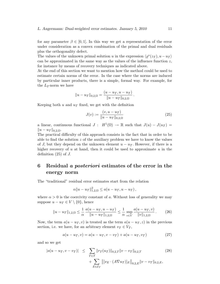for any parameter  $\beta \in [0, 1]$ . In this way we get a representation of the error under consideration as a convex combination of the primal and dual residuals plus the orthogonality defect.

The values of the unknown primal solution u in the expression  $\langle \varrho^*(z_T), u - u_T \rangle$ can be approximated in the same way as the values of the influence function  $z$ , for instance by means of recovery techniques as indicated above.

At the end of this section we want to mention how the method could be used to estimate certain norms of the error. In the case where the norms are induced by particular inner products, there is a simple, formal way. For example, for the  $L_2$ -norm we have

$$
||u - u_T||_{0,2,\Omega} = \frac{(u - u_T, u - u_T)}{||u - u_T||_{0,2,\Omega}}.
$$

Keeping both u and  $u<sub>T</sub>$  fixed, we get with the definition

$$
J(v) := \frac{(v, u - u_{\mathcal{T}})}{\|u - u_{\mathcal{T}}\|_{0,2,\Omega}}\tag{25}
$$

a linear, continuous functional  $J: H^1(\Omega) \to \mathbb{R}$  such that  $J(u) - J(u_\mathcal{T}) =$  $||u - u_T||_{0,2,\Omega}.$ 

The practical difficulty of this approach consists in the fact that in order to be able to find the solution  $z$  of the auxiliary problem we have to know the values of J, but they depend on the unknown element  $u - u_{\mathcal{T}}$ . However, if there is a higher recovery of  $u$  at hand, then it could be used to approximate  $u$  in the definition  $(25)$  of J.

### 6 Residual a posteriori estimates of the error in the energy norm

The "traditional" residual error estimates start from the relation

$$
\alpha \|u - u_\mathcal{T}\|_{1,2,\Omega}^2 \le a(u - u_\mathcal{T}, u - u_\mathcal{T}),
$$

where  $\alpha > 0$  is the coercivity constant of a. Without loss of generality we may suppose  $u - u_{\mathcal{T}} \in V \setminus \{0\}$ , hence

$$
||u - u_T||_{1,2,\Omega} \le \frac{1}{\alpha} \frac{a(u - u_T, u - u_T)}{||u - u_T||_{1,2,\Omega}} \le \frac{1}{\alpha} \sup_{v \in V} \frac{a(u - u_T, v)}{||v||_{1,2,\Omega}}.
$$
 (26)

Now, the term  $a(u - u_T, v)$  is treated as the term  $a(u - u_T, z)$  in the previous section, i.e. we have, for an arbitrary element  $v_{\mathcal{T}} \in V_{\mathcal{T}}$ ,

$$
a(u - u_T, v) = a(u - u_T, v - v_T) + a(u - u_T, v_T)
$$
\n(27)

and so we get

$$
|a(u - u_T, v - v_T)| \leq \sum_{T \in \mathcal{T}} ||r_T(u_T)||_{0,2,T} ||v - v_T||_{0,2,T}
$$
\n
$$
+ \sum_{E \in \mathcal{E}_T} ||[\nu_E \cdot (A \nabla u_T)]_E||_{0,2,E} ||v - v_T||_{0,2,E},
$$
\n(28)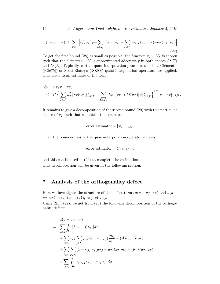$$
|a(u-u_T, v_T)| \le \sum_{T \in \mathcal{T}} \Big| (f, v_T)_{T} - \sum_{i \in \Lambda_T} f_i v_{Ti} m_i^T \Big| + \sum_{T \in \mathcal{T}} \Big| a_{T,T}(u_T, v_T) - a_T(u_T, v_T) \Big|.
$$
\n(29)

To get the first bound (28) as small as possible, the function  $v_T \in V_T$  is chosen such that the element  $v \in V$  is approximated adequately in both spaces  $L^2(T)$ and  $L^2(E)$ . Typically, certain quasi-interpolation procedures such as Clément's  $([Clé75])$  or Scott-Zhang's  $([SZ90])$  quasi-interpolation operators are applied. This leads to an estimate of the form

$$
a(u - u_T, v - v_T) \leq C \left\{ \sum_{T \in \mathcal{T}} h_T^2 \|r_T(u_T)\|_{0,2,T}^2 + \sum_{E \in \mathcal{E}_{\mathcal{T}}} h_E \left\| [\nu_E \cdot (A \nabla u_T)]_E \right\|_{0,2,E}^2 \right\}^{1/2} |v - v_T|_{1,2,\Omega}.
$$

It remains to give a decomposition of the second bound (29) with this particular choice of  $v<sub>T</sub>$  such that we obtain the structure

error estimator 
$$
\|v_\mathcal{T}\|_{1,2,\Omega}
$$
.

Then the boundedness of the quasi-interpolation operator implies

error estimator  $\times C||v||_{1,2,\Omega}$ ,

and this can be used in (26) to complete the estimation. This decomposition will be given in the following section.

#### 7 Analysis of the orthogonality defect

Here we investigate the structure of the defect terms  $a(u - u<sub>T</sub>, z<sub>T</sub>)$  and  $a(u - u<sub>T</sub>, z<sub>T</sub>)$  $u<sub>T</sub>, v<sub>T</sub>$  in (24) and (27), respectively.

Using  $(21)$ ,  $(22)$ , we get from  $(20)$  the following decomposition of the orthogonality defect:

$$
a(u - u_T, z_T)
$$
\n
$$
= \sum_{i \in \Lambda} \int_{\Omega_i} [f z_T - f_i z_{Ti}] dx
$$
\n
$$
+ \sum_{i \in \Lambda} z_{Ti} \sum_{j \in \Lambda_i} \mu_{ij} (u_{Ti} - u_{Tj}) \frac{m_{ij}}{d_{ij}} - (A \nabla u_T, \nabla z_T)
$$
\n
$$
+ \sum_{i \in \Lambda} \sum_{j \in \Lambda_i} (1 - r_{ij}) \gamma_{ij} (u_{Tj} - u_{Ti}) z_{Ti} m_{ij} - (b \cdot \nabla u_T, z_T)
$$
\n
$$
+ \sum_{i \in \Lambda} \int_{\Omega_i} [c_i u_{Ti} z_{Ti} - c u_T z_T] dx
$$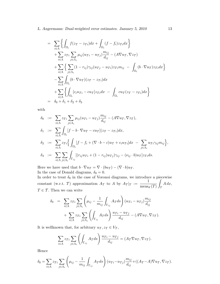$$
= \sum_{i\in\Lambda} \left\{ \int_{\Omega_i} f(z_T - z_{Ti}) dx + \int_{\Omega_i} (f - f_i) z_{Ti} dx \right\} + \sum_{i\in\Lambda} z_{Ti} \sum_{j\in\Lambda_i} \mu_{ij} (u_{Ti} - u_{Tj}) \frac{m_{ij}}{d_{ij}} - (A\nabla u_T, \nabla z_T) + \sum_{i\in\Lambda} \left\{ \sum_{j\in\Lambda_i} (1 - r_{ij}) \gamma_{ij} (u_{Tj} - u_{Ti}) z_{Ti} m_{ij} - \int_{\Omega_i} (b \cdot \nabla u_T) z_{Ti} dx \right\} - \sum_{i\in\Lambda} \int_{\Omega_i} (b \cdot \nabla u_T) (z_T - z_{Ti}) dx + \sum_{i\in\Lambda} \left\{ \int_{\Omega_i} [c_i u_{Ti} - c u_T] z_{Ti} dx - \int_{\Omega_i} c u_T (z_T - z_{Ti}) dx \right\} = \delta_0 + \delta_1 + \delta_2 + \delta_3
$$

with

$$
\delta_0 := \sum_{i \in \Lambda} z_{\mathcal{T}i} \sum_{j \in \Lambda_i} \mu_{ij} (u_{\mathcal{T}i} - u_{\mathcal{T}j}) \frac{m_{ij}}{d_{ij}} - (A \nabla u_{\mathcal{T}}, \nabla z_{\mathcal{T}}),
$$
  
\n
$$
\delta_1 := \sum_{i \in \Lambda} \int_{\Omega_i} [f - b \cdot \nabla u_{\mathcal{T}} - cu_{\mathcal{T}}](z_{\mathcal{T}} - z_{\mathcal{T}i}) dx,
$$
  
\n
$$
\delta_2 := \sum_{i \in \Lambda} z_{\mathcal{T}i} \Big\{ \int_{\Omega_i} [f - f_i + (\nabla \cdot b - c)u_{\mathcal{T}} + c_i u_{\mathcal{T}i}] dx - \sum_{j \in \Lambda_i} u_{\mathcal{T}i} \gamma_{ij} m_{ij} \Big\},
$$
  
\n
$$
\delta_3 := \sum_{i \in \Lambda} \sum_{j \in \Lambda_i} \int_{\Gamma_{ij}} [(r_{ij} u_{\mathcal{T}i} + (1 - r_{ij})u_{\mathcal{T}j}) \gamma_{ij} - (\nu_{ij} \cdot b)u_{\mathcal{T}}] z_{\mathcal{T}i} ds.
$$

Here we have used that  $b \cdot \nabla u_{\mathcal{T}} = \nabla \cdot (bu_{\mathcal{T}}) - (\nabla \cdot b)u_{\mathcal{T}}$ . In the case of Donald diagrams,  $\delta_0 = 0$ .

In order to treat  $\delta_0$  in the case of Voronoi diagrams, we introduce a piecewise constant (w.r.t. T) approximation  $A_T$  to A by  $A_T |_{T} := \frac{1}{\sqrt{2\pi} \sqrt{2\pi}}$  $meas_d(T)$ Z T  $A dx$ ,  $T\in\mathcal{T}.$  Then we can write

$$
\delta_0 = \sum_{i \in \Lambda} z_{\mathcal{T}i} \sum_{j \in \Lambda_i} \left( \mu_{ij} - \frac{1}{m_{ij}} \int_{\Gamma_{ij}} A_{\mathcal{T}} ds \right) (u_{\mathcal{T}i} - u_{\mathcal{T}j}) \frac{m_{ij}}{d_{ij}} + \sum_{i \in \Lambda} z_{\mathcal{T}i} \sum_{j \in \Lambda_i} \left( \int_{\Gamma_{ij}} A_{\mathcal{T}} ds \right) \frac{u_{\mathcal{T}i} - u_{\mathcal{T}j}}{d_{ij}} - (A \nabla u_{\mathcal{T}}, \nabla z_{\mathcal{T}}).
$$

It is wellknown that, for arbitrary  $u_T, z_T \in V_T$ ,

$$
\sum_{i \in \Lambda} z_{\mathcal{T}i} \sum_{j \in \Lambda_i} \left( \int_{\Gamma_{ij}} A_{\mathcal{T}} ds \right) \frac{u_{\mathcal{T}i} - u_{\mathcal{T}j}}{d_{ij}} = (A_{\mathcal{T}} \nabla u_{\mathcal{T}}, \nabla z_{\mathcal{T}}).
$$

Hence

$$
\delta_0 = \sum_{i \in \Lambda} z_{\mathcal{T}i} \sum_{j \in \Lambda_i} \left( \mu_{ij} - \frac{1}{m_{ij}} \int_{\Gamma_{ij}} A_{\mathcal{T}} ds \right) (u_{\mathcal{T}i} - u_{\mathcal{T}j}) \frac{m_{ij}}{d_{ij}} + ((A_{\mathcal{T}} - A) \nabla u_{\mathcal{T}}, \nabla z_{\mathcal{T}}).
$$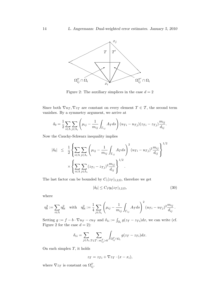

Figure 2: The auxiliary simplices in the case  $d = 2$ 

Since both  $\nabla u_{\mathcal{T}}, \nabla z_{\mathcal{T}}$  are constant on every element  $T \in \mathcal{T}$ , the second term vanishes. By a symmetry argument, we arrive at

$$
\delta_0 = \frac{1}{2} \sum_{i \in \Lambda} \sum_{j \in \Lambda_i} \left( \mu_{ij} - \frac{1}{m_{ij}} \int_{\Gamma_{ij}} A_{\mathcal{T}} ds \right) (u_{\mathcal{T}i} - u_{\mathcal{T}j}) (z_{\mathcal{T}i} - z_{\mathcal{T}j}) \frac{m_{ij}}{d_{ij}}.
$$

Now the Cauchy-Schwarz inequality implies

$$
|\delta_0| \leq \frac{1}{2} \left\{ \sum_{i \in \Lambda} \sum_{j \in \Lambda_i} \left( \mu_{ij} - \frac{1}{m_{ij}} \int_{\Gamma_{ij}} A_{\mathcal{T}} ds \right)^2 (u_{\mathcal{T}i} - u_{\mathcal{T}j})^2 \frac{m_{ij}}{d_{ij}} \right\}^{1/2}
$$

$$
\times \left\{ \sum_{i \in \Lambda} \sum_{j \in \Lambda_i} (z_{\mathcal{T}i} - z_{\mathcal{T}j})^2 \frac{m_{ij}}{d_{ij}} \right\}^{1/2}.
$$

The last factor can be bounded by  $C_1|z_{\mathcal{T}}|_{1,2,\Omega} ,$  therefore we get

$$
|\delta_0| \le C_1 \eta_0 |z_T|_{1,2,\Omega},\tag{30}
$$

where

$$
\eta_0^2 := \sum_{i \in \Lambda} \eta_{0i}^2 \quad \text{with} \quad \eta_{0i}^2 := \frac{1}{4} \sum_{j \in \Lambda_i} \left( \mu_{ij} - \frac{1}{m_{ij}} \int_{\Gamma_{ij}} A_{\mathcal{T}} ds \right)^2 (u_{\mathcal{T}i} - u_{\mathcal{T}j})^2 \frac{m_{ij}}{d_{ij}}.
$$

Setting  $g := f - b \cdot \nabla u_{\mathcal{T}} - cu_{\mathcal{T}}$  and  $\delta_{1i} := \int_{\Omega_i} g(z_{\mathcal{T}} - z_{\mathcal{T}i}) dx$ , we can write (cf. Figure 2 for the case  $d = 2$ :

$$
\delta_{1i} = \sum_{j \in \Lambda_i} \sum_{T \in \mathcal{T} : m_{ij}^T > 0} \int_{\Omega_{ij}^T \cap \Omega_i} g(z_T - z_{\mathcal{T}i}) dx.
$$

On each simplex  $T$ , it holds

$$
z_T = z_{Ti} + \nabla z_T \cdot (x - x_i),
$$

where  $\nabla z_{\mathcal{T}}$  is constant on  $\Omega_{ij}^T$ .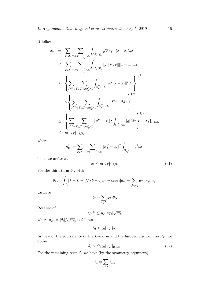It follows

$$
\delta_{1i} = \sum_{j \in \Lambda_i} \sum_{T \in \mathcal{T} : m_{ij}^T > 0} \int_{\Omega_{ij}^T \cap \Omega_i} g \nabla z_T \cdot (x - x_i) dx
$$
\n
$$
\leq \sum_{j \in \Lambda_i} \sum_{T \in \mathcal{T} : m_{ij}^T > 0} \int_{\Omega_{ij}^T \cap \Omega_i} |g| \|\nabla z_T\| \|x - x_i\| dx
$$
\n
$$
\leq \left\{ \sum_{j \in \Lambda_i} \sum_{T \in \mathcal{T} : m_{ij}^T > 0} \int_{\Omega_{ij}^T \cap \Omega_i} |g|^2 \|x - x_i\|^2 dx \right\}^{1/2}
$$
\n
$$
\times \left\{ \sum_{j \in \Lambda_i} \sum_{T \in \mathcal{T} : m_{ij}^T > 0} \int_{\Omega_{ij}^T \cap \Omega_i} \|\nabla z_T\|^2 dx \right\}^{1/2}
$$
\n
$$
\leq \left\{ \sum_{j \in \Lambda_i} \sum_{T \in \mathcal{T} : m_{ij}^T > 0} \|x_T^V - x_i\|^2 \int_{\Omega_{ij}^T \cap \Omega_i} |g|^2 dx \right\}^{1/2} |z_T|_{1,2,\Omega_i}
$$
\n
$$
\leq \eta_{1i} |z_T|_{1,2,\Omega_i},
$$

where

$$
\eta_{1i}^2 := \sum_{j \in \Lambda_i} \sum_{T \in \mathcal{T} : m_{ij}^T > 0} \|x_T^V - x_i\|^2 \int_{\Omega_{ij}^T \cap \Omega_i} g^2 dx.
$$

Thus we arrive at

$$
\delta_1 \le \eta_1 |z\tau|_{1,2,\Omega}.\tag{31}
$$

For the third term  $\delta_2,$  with

$$
\theta_i := \int_{\Omega_i} [f - f_i + (\nabla \cdot b - c)u_{\mathcal{T}} + c_i u_{\mathcal{T}i}] dx - \sum_{j \in \Lambda_i} u_{\mathcal{T}i} \gamma_{ij} m_{ij},
$$

we have

$$
\delta_2 = \sum_{i \in \Lambda} z_{\mathcal{T}i} \theta_i.
$$

Because of

$$
z_{\mathcal{T}i}\theta_i \leq \eta_{2i}|z_{\mathcal{T}i}|\sqrt{m_i},
$$

where  $\eta_{2i} := |\theta_i| / \sqrt{m_i}$ , it follows

$$
\delta_2 \leq \eta_2 \|z_{\mathcal{T}}\|_{\mathcal{T}}.
$$

In view of the equivalence of the  $L_2$ -norm and the lumped  $L_2$ -norm on  $V_T$ , we obtain

$$
\delta_2 \le C_2 \eta_2 \|z_\mathcal{T}\|_{0,2,\Omega}.\tag{32}
$$

For the remaining term  $\delta_3$  we have (by the symmetry argument)

$$
\delta_3 = \sum_{i \in \Lambda} \delta_{3i},
$$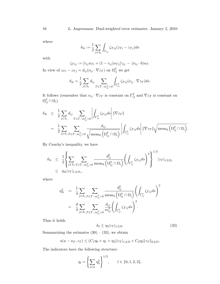where

$$
\delta_{3i} := \frac{1}{2} \sum_{j \in \Lambda_i} \int_{\Gamma_{ij}} \zeta_{\mathcal{T}ij} (z_{\mathcal{T}i} - z_{\mathcal{T}j}) ds
$$

with

$$
\zeta_{\mathcal{T}ij} := [r_{ij}u_{\mathcal{T}i} + (1 - r_{ij})u_{\mathcal{T}j}]\gamma_{ij} - (\nu_{ij} \cdot b)u_{\mathcal{T}}.
$$

In view of  $z_{\mathcal{T}i} - z_{\mathcal{T}j} = d_{ij}(\nu_{ij} \cdot \nabla z_{\mathcal{T}})$  on  $\Omega_{ij}^T$  we get

$$
\delta_{3i} = \frac{1}{2} \sum_{j \in \Lambda_i} d_{ij} \sum_{T \in \mathcal{T} : m_{ij}^T > 0} \int_{\Gamma_{ij}^T} \zeta_{Tij} (\nu_{ij} \cdot \nabla z_T) ds.
$$

It follows (remember that  $\nu_{ij} \cdot \nabla z_{\mathcal{T}}$  is constant on  $\Gamma_{ij}^T$  and  $\nabla z_{\mathcal{T}}$  is constant on  $\Omega_{ij}^T \cap \Omega_i$ 

$$
\delta_{3i} \leq \frac{1}{2} \sum_{j \in \Lambda_i} d_{ij} \sum_{T \in \mathcal{T} : m_{ij}^T > 0} \left| \int_{\Gamma_{ij}^T} \zeta_{Tij} ds \right| \|\nabla z_T\|
$$
  
= 
$$
\frac{1}{2} \sum_{j \in \Lambda_i} \sum_{T \in \mathcal{T} : m_{ij}^T > 0} \frac{d_{ij}}{\sqrt{\text{meas}_d (\Omega_{ij}^T \cap \Omega_i)}} \left| \int_{\Gamma_{ij}^T} \zeta_{Tij} ds \right| \|\nabla z_T\| \sqrt{\text{meas}_d (\Omega_{ij}^T \cap \Omega_i)}.
$$

By Cauchy's inequality, we have

$$
\delta_{3i} \leq \frac{1}{2} \left\{ \sum_{j \in \Lambda_i} \sum_{T \in \mathcal{T} : m_{ij}^T > 0} \frac{d_{ij}^2}{\operatorname{meas}_d \left( \Omega_{ij}^T \cap \Omega_i \right)} \left( \int_{\Gamma_{ij}^T} \zeta_{Tij} ds \right)^2 \right\}^{1/2} |z_T|_{1,2,\Omega_i}
$$
\n
$$
\leq \eta_{3i} |z_T|_{1,2,\Omega_i},
$$

where

$$
\eta_{3i}^2 := \frac{1}{4} \sum_{j \in \Lambda_i} \sum_{T \in \mathcal{T} : m_{ij}^T > 0} \frac{d_{ij}^2}{\operatorname{meas}_d \left( \Omega_{ij}^T \cap \Omega_i \right)} \left( \int_{\Gamma_{ij}^T} \zeta_{Tij} ds \right)^2
$$

$$
= \frac{d}{4} \sum_{j \in \Lambda_i} \sum_{T \in \mathcal{T} : m_{ij}^T > 0} \frac{d_{ij}}{m_{ij}^T} \left( \int_{\Gamma_{ij}^T} \zeta_{Tij} ds \right)^2.
$$

Thus it holds

$$
\delta_3 \le \eta_3 |z_T|_{1,2,\Omega}.\tag{33}
$$

Summarizing the estimates  $(30) - (33)$ , we obtain

$$
a(u - u_{\mathcal{T}}, z_{\mathcal{T}}) \le (C_1 \eta_0 + \eta_1 + \eta_3) |z_{\mathcal{T}}|_{1,2,\Omega} + C_2 \eta_2 ||z_{\mathcal{T}}||_{0,2,\Omega}.
$$

The indicators have the following structure:

$$
\eta_l = \left\{ \sum_{i \in \Lambda} \eta_{li}^2 \right\}^{1/2}, \qquad l \in \{0, 1, 2, 3\},
$$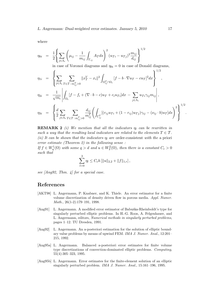where

$$
\eta_{0i} = \frac{1}{2} \left\{ \sum_{j \in \Lambda_i} \left( \mu_{ij} - \frac{1}{m_{ij}} \int_{\Gamma_{ij}} A_T ds \right)^2 (u_{Ti} - u_{Tj})^2 \frac{m_{ij}}{d_{ij}} \right\}^{1/2}
$$

in case of Voronoi diagrams and  $\eta_{0i} = 0$  in case of Donald diagrams,

$$
\eta_{1i} = \left\{ \sum_{j \in \Lambda_i} \sum_{T \in \mathcal{T} : m_{ij}^T > 0} ||x_T^V - x_i||^2 \int_{\Omega_{ij}^T \cap \Omega_i} [f - b \cdot \nabla u_T - cu_T]^2 dx \right\},
$$
  
\n
$$
\eta_{2i} = \frac{1}{\sqrt{m_i}} \left| \int_{\Omega_i} [f - f_i + (\nabla \cdot b - c)u_T + c_i u_{\mathcal{T}i}] dx - \sum_{j \in \Lambda_i} u_{\mathcal{T}i} \gamma_{ij} m_{ij} \right|,
$$
  
\n
$$
\eta_{3i} = \left\{ \frac{d}{2} \sum_{j \in \Lambda_i} \sum_{T \in \mathcal{T} : m_{ij}^T > 0} \frac{d_{ij}}{m_{ij}^T} \left( \int_{\Gamma_{ij}^T} [(r_{ij}u_{\mathcal{T}i} + (1 - r_{ij})u_{\mathcal{T}j}) \gamma_{ij} - (\nu_{ij} \cdot b)u_{\mathcal{T}}] ds \right)^2 \right\}^{1/2}.
$$

**REMARK 2** (i) We mention that all the indicators  $\eta_l$  can be rewritten in such a way that the resulting local indicators are related to the elements  $T \in \mathcal{T}$ . (ii) It can be shown that the indicators  $\eta_l$  are order-consistent with the a priori error estimate (Theorem 2) in the following sense :

If  $f \in W_q^1(\Omega)$  with some  $q > d$  and  $u \in W_2^2(\Omega)$ , then there is a constant  $C_c > 0$ such that

$$
\sum_{l=0}^{3} \eta_l \leq C_c h \left[ ||u||_{2,2} + ||f||_{1,r} \right],
$$

see  $\langle Ang92, Thm. \nvert 4 \rangle$  for a special case.

#### References

- [AKT98] L. Angermann, P. Knabner, and K. Thiele. An error estimator for a finite volume discretization of density driven flow in porous media. Appl. Numer. Math., 26(1-2):179–191, 1998.
- [Ang91] L. Angermann. A modified error estimator of Babuška-Rheinboldt's type for singularly perturbed elliptic problems. In H.-G. Roos, A. Felgenhauer, and L. Angermann, editors, Numerical methods in singularly perturbed problems, pages 1–12. TU Dresden, 1991.
- [Ang92] L. Angermann. An a-posteriori estimation for the solution of elliptic boundary value problems by means of upwind FEM. IMA J. Numer. Anal., 12:201– 215, 1992.
- [Ang95a] L. Angermann. Balanced a-posteriori error estimates for finite volume type discretizations of convection-dominated elliptic problems. Computing, 55(4):305–323, 1995.
- [Ang95b] L. Angermann. Error estimates for the finite-element solution of an elliptic singularly perturbed problem. IMA J. Numer. Anal., 15:161–196, 1995.